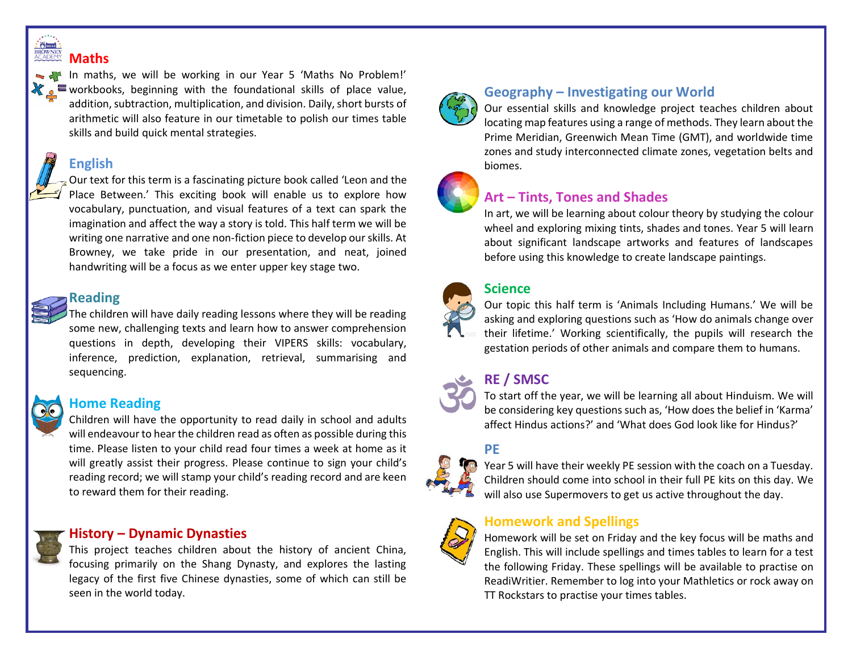#### $\frac{1}{\text{RROWNET}}$ **Maths**



In maths, we will be working in our Year 5 'Maths No Problem!'  $\equiv$  workbooks, beginning with the foundational skills of place value, addition, subtraction, multiplication, and division. Daily, short bursts of arithmetic will also feature in our timetable to polish our times table skills and build quick mental strategies.

## **English**



#### **Reading**

The children will have daily reading lessons where they will be reading some new, challenging texts and learn how to answer comprehension questions in depth, developing their VIPERS skills: vocabulary, inference, prediction, explanation, retrieval, summarising and sequencing.



#### **Home Reading**

Children will have the opportunity to read daily in school and adults will endeavour to hear the children read as often as possible during this time. Please listen to your child read four times a week at home as it will greatly assist their progress. Please continue to sign your child's reading record; we will stamp your child's reading record and are keen to reward them for their reading.

#### **History – Dynamic Dynasties**

This project teaches children about the history of ancient China, focusing primarily on the Shang Dynasty, and explores the lasting legacy of the first five Chinese dynasties, some of which can still be seen in the world today.



#### **Geography – Investigating our World**

Our essential skills and knowledge project teaches children about locating map features using a range of methods. They learn about the Prime Meridian, Greenwich Mean Time (GMT), and worldwide time zones and study interconnected climate zones, vegetation belts and biomes.



### **Art – Tints, Tones and Shades**

In art, we will be learning about colour theory by studying the colour wheel and exploring mixing tints, shades and tones. Year 5 will learn about significant landscape artworks and features of landscapes before using this knowledge to create landscape paintings.



#### **Science**

Our topic this half term is 'Animals Including Humans.' We will be asking and exploring questions such as 'How do animals change over their lifetime.' Working scientifically, the pupils will research the gestation periods of other animals and compare them to humans.

## **RE / SMSC**

To start off the year, we will be learning all about Hinduism. We will be considering key questions such as, 'How does the belief in 'Karma' affect Hindus actions?' and 'What does God look like for Hindus?'

#### **PE**



Year 5 will have their weekly PE session with the coach on a Tuesday. Children should come into school in their full PE kits on this day. We will also use Supermovers to get us active throughout the day.

#### **Homework and Spellings**

Homework will be set on Friday and the key focus will be maths and English. This will include spellings and times tables to learn for a test the following Friday. These spellings will be available to practise on ReadiWritier. Remember to log into your Mathletics or rock away on TT Rockstars to practise your times tables.